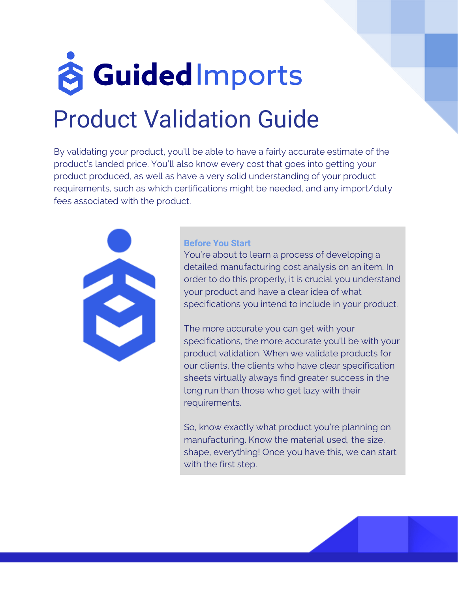# **& Guided Imports** Product Validation Guide

By validating your product, you'll be able to have a fairly accurate estimate of the product's landed price. You'll also know every cost that goes into getting your product produced, as well as have a very solid understanding of your product requirements, such as which certifications might be needed, and any import/duty fees associated with the product.



#### **Before You Start**

You're about to learn a process of developing a detailed manufacturing cost analysis on an item. In order to do this properly, it is crucial you understand your product and have a clear idea of what specifications you intend to include in your product.

The more accurate you can get with your specifications, the more accurate you'll be with your product validation. When we validate products for our clients, the clients who have clear specification sheets virtually always find greater success in the long run than those who get lazy with their requirements.

So, know exactly what product you're planning on manufacturing. Know the material used, the size, shape, everything! Once you have this, we can start with the first step.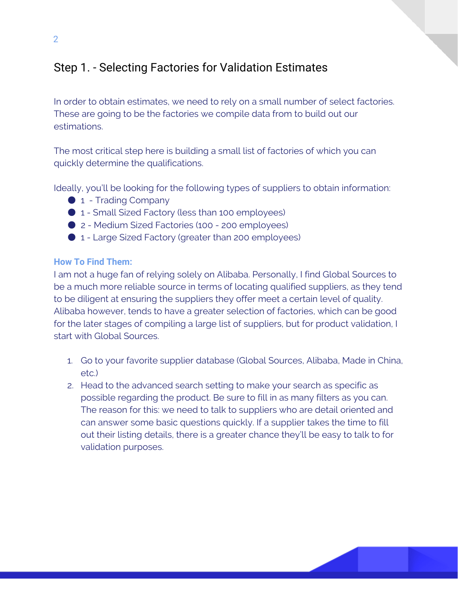# Step 1. - Selecting Factories for Validation Estimates

In order to obtain estimates, we need to rely on a small number of select factories. These are going to be the factories we compile data from to build out our estimations.

The most critical step here is building a small list of factories of which you can quickly determine the qualifications.

Ideally, you'll be looking for the following types of suppliers to obtain information:

- 1 Trading Company
- 1 Small Sized Factory (less than 100 employees)
- 2 Medium Sized Factories (100 200 employees)
- 1 Large Sized Factory (greater than 200 employees)

## **How To Find Them:**

I am not a huge fan of relying solely on Alibaba. Personally, I find Global Sources to be a much more reliable source in terms of locating qualified suppliers, as they tend to be diligent at ensuring the suppliers they offer meet a certain level of quality. Alibaba however, tends to have a greater selection of factories, which can be good for the later stages of compiling a large list of suppliers, but for product validation, I start with Global Sources.

- 1. Go to your favorite supplier database (Global Sources, Alibaba, Made in China, etc.)
- 2. Head to the advanced search setting to make your search as specific as possible regarding the product. Be sure to fill in as many filters as you can. The reason for this: we need to talk to suppliers who are detail oriented and can answer some basic questions quickly. If a supplier takes the time to fill out their listing details, there is a greater chance they'll be easy to talk to for validation purposes.

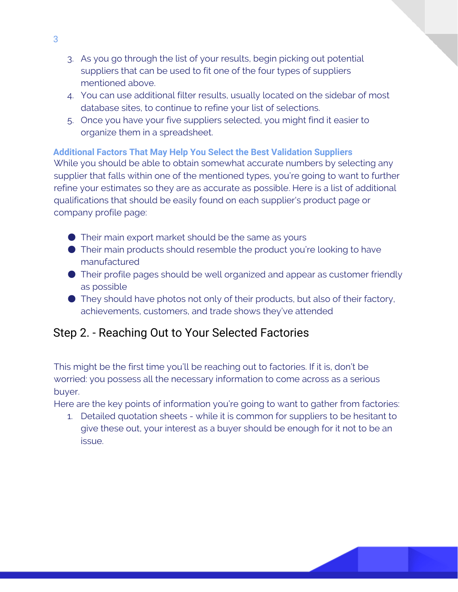- 3. As you go through the list of your results, begin picking out potential suppliers that can be used to fit one of the four types of suppliers mentioned above.
- 4. You can use additional filter results, usually located on the sidebar of most database sites, to continue to refine your list of selections.
- 5. Once you have your five suppliers selected, you might find it easier to organize them in a spreadsheet.

## **Additional Factors That May Help You Select the Best Validation Suppliers**

While you should be able to obtain somewhat accurate numbers by selecting any supplier that falls within one of the mentioned types, you're going to want to further refine your estimates so they are as accurate as possible. Here is a list of additional qualifications that should be easily found on each supplier's product page or company profile page:

- $\bullet$  Their main export market should be the same as yours
- Their main products should resemble the product you're looking to have manufactured
- Their profile pages should be well organized and appear as customer friendly as possible
- They should have photos not only of their products, but also of their factory, achievements, customers, and trade shows they've attended

# Step 2. - Reaching Out to Your Selected Factories

This might be the first time you'll be reaching out to factories. If it is, don't be worried: you possess all the necessary information to come across as a serious buyer.

Here are the key points of information you're going to want to gather from factories:

1. Detailed quotation sheets - while it is common for suppliers to be hesitant to give these out, your interest as a buyer should be enough for it not to be an issue.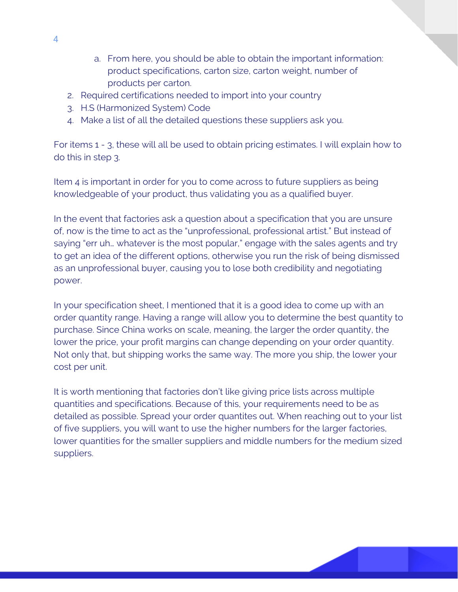- a. From here, you should be able to obtain the important information: product specifications, carton size, carton weight, number of products per carton.
- 2. Required certifications needed to import into your country
- 3. H.S (Harmonized System) Code
- 4. Make a list of all the detailed questions these suppliers ask you.

For items 1 - 3, these will all be used to obtain pricing estimates. I will explain how to do this in step 3.

Item 4 is important in order for you to come across to future suppliers as being knowledgeable of your product, thus validating you as a qualified buyer.

In the event that factories ask a question about a specification that you are unsure of, now is the time to act as the "unprofessional, professional artist." But instead of saying "err uh… whatever is the most popular," engage with the sales agents and try to get an idea of the different options, otherwise you run the risk of being dismissed as an unprofessional buyer, causing you to lose both credibility and negotiating power.

In your specification sheet, I mentioned that it is a good idea to come up with an order quantity range. Having a range will allow you to determine the best quantity to purchase. Since China works on scale, meaning, the larger the order quantity, the lower the price, your profit margins can change depending on your order quantity. Not only that, but shipping works the same way. The more you ship, the lower your cost per unit.

It is worth mentioning that factories don't like giving price lists across multiple quantities and specifications. Because of this, your requirements need to be as detailed as possible. Spread your order quantites out. When reaching out to your list of five suppliers, you will want to use the higher numbers for the larger factories, lower quantities for the smaller suppliers and middle numbers for the medium sized suppliers.

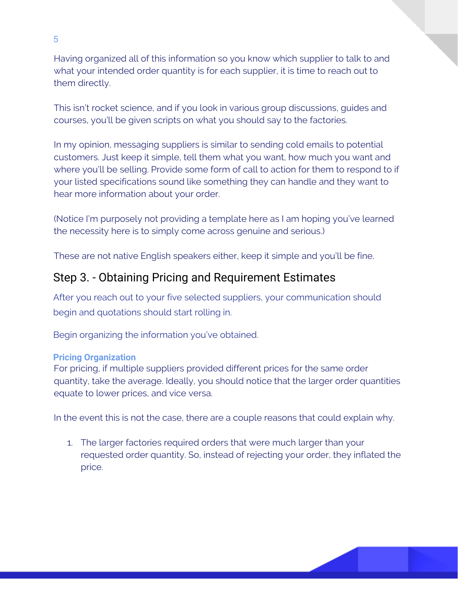Having organized all of this information so you know which supplier to talk to and what your intended order quantity is for each supplier, it is time to reach out to them directly.

This isn't rocket science, and if you look in various group discussions, guides and courses, you'll be given scripts on what you should say to the factories.

In my opinion, messaging suppliers is similar to sending cold emails to potential customers. Just keep it simple, tell them what you want, how much you want and where you'll be selling. Provide some form of call to action for them to respond to if your listed specifications sound like something they can handle and they want to hear more information about your order.

(Notice I'm purposely not providing a template here as I am hoping you've learned the necessity here is to simply come across genuine and serious.)

These are not native English speakers either, keep it simple and you'll be fine.

# Step 3. - Obtaining Pricing and Requirement Estimates

After you reach out to your five selected suppliers, your communication should begin and quotations should start rolling in.

Begin organizing the information you've obtained.

## **Pricing Organization**

For pricing, if multiple suppliers provided different prices for the same order quantity, take the average. Ideally, you should notice that the larger order quantities equate to lower prices, and vice versa.

In the event this is not the case, there are a couple reasons that could explain why.

1. The larger factories required orders that were much larger than your requested order quantity. So, instead of rejecting your order, they inflated the price.

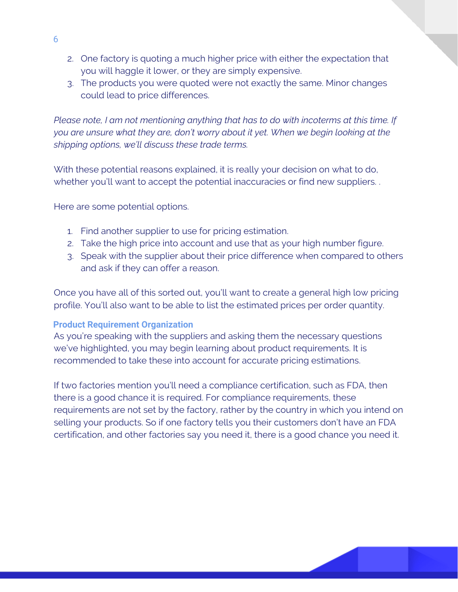- 2. One factory is quoting a much higher price with either the expectation that you will haggle it lower, or they are simply expensive.
- 3. The products you were quoted were not exactly the same. Minor changes could lead to price differences.

*Please note, I am not mentioning anything that has to do with incoterms at this time. If you are unsure what they are, don't worry about it yet. When we begin looking at the shipping options, we'll discuss these trade terms.* 

With these potential reasons explained, it is really your decision on what to do, whether you'll want to accept the potential inaccuracies or find new suppliers. .

Here are some potential options.

- 1. Find another supplier to use for pricing estimation.
- 2. Take the high price into account and use that as your high number figure.
- 3. Speak with the supplier about their price difference when compared to others and ask if they can offer a reason.

Once you have all of this sorted out, you'll want to create a general high low pricing profile. You'll also want to be able to list the estimated prices per order quantity.

#### **Product Requirement Organization**

As you're speaking with the suppliers and asking them the necessary questions we've highlighted, you may begin learning about product requirements. It is recommended to take these into account for accurate pricing estimations.

If two factories mention you'll need a compliance certification, such as FDA, then there is a good chance it is required. For compliance requirements, these requirements are not set by the factory, rather by the country in which you intend on selling your products. So if one factory tells you their customers don't have an FDA certification, and other factories say you need it, there is a good chance you need it.

6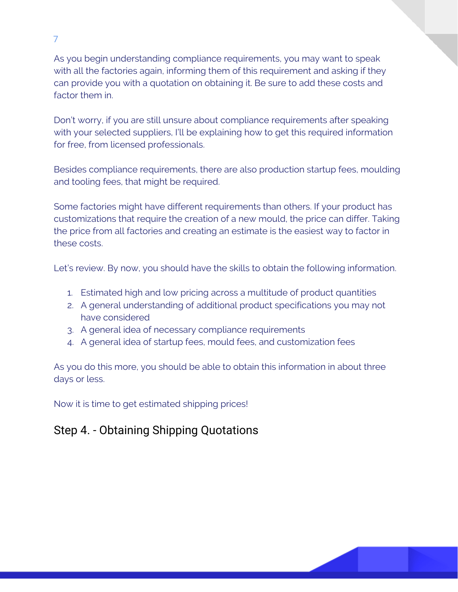As you begin understanding compliance requirements, you may want to speak with all the factories again, informing them of this requirement and asking if they can provide you with a quotation on obtaining it. Be sure to add these costs and factor them in.

Don't worry, if you are still unsure about compliance requirements after speaking with your selected suppliers, I'll be explaining how to get this required information for free, from licensed professionals.

Besides compliance requirements, there are also production startup fees, moulding and tooling fees, that might be required.

Some factories might have different requirements than others. If your product has customizations that require the creation of a new mould, the price can differ. Taking the price from all factories and creating an estimate is the easiest way to factor in these costs.

Let's review. By now, you should have the skills to obtain the following information.

- 1. Estimated high and low pricing across a multitude of product quantities
- 2. A general understanding of additional product specifications you may not have considered
- 3. A general idea of necessary compliance requirements
- 4. A general idea of startup fees, mould fees, and customization fees

As you do this more, you should be able to obtain this information in about three days or less.

Now it is time to get estimated shipping prices!

# Step 4. - Obtaining Shipping Quotations

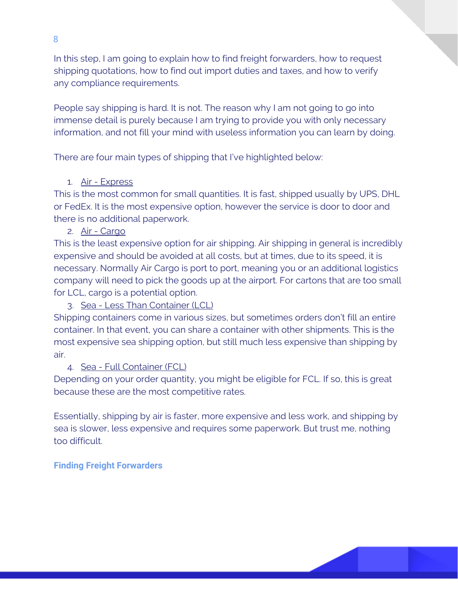In this step, I am going to explain how to find freight forwarders, how to request shipping quotations, how to find out import duties and taxes, and how to verify any compliance requirements.

People say shipping is hard. It is not. The reason why I am not going to go into immense detail is purely because I am trying to provide you with only necessary information, and not fill your mind with useless information you can learn by doing.

There are four main types of shipping that I've highlighted below:

## 1. Air - Express

This is the most common for small quantities. It is fast, shipped usually by UPS, DHL or FedEx. It is the most expensive option, however the service is door to door and there is no additional paperwork.

2. Air - Cargo

This is the least expensive option for air shipping. Air shipping in general is incredibly expensive and should be avoided at all costs, but at times, due to its speed, it is necessary. Normally Air Cargo is port to port, meaning you or an additional logistics company will need to pick the goods up at the airport. For cartons that are too small for LCL, cargo is a potential option.

3. Sea - Less Than Container (LCL)

Shipping containers come in various sizes, but sometimes orders don't fill an entire container. In that event, you can share a container with other shipments. This is the most expensive sea shipping option, but still much less expensive than shipping by air.

## 4. Sea - Full Container (FCL)

Depending on your order quantity, you might be eligible for FCL. If so, this is great because these are the most competitive rates.

Essentially, shipping by air is faster, more expensive and less work, and shipping by sea is slower, less expensive and requires some paperwork. But trust me, nothing too difficult.

## **Finding Freight Forwarders**

8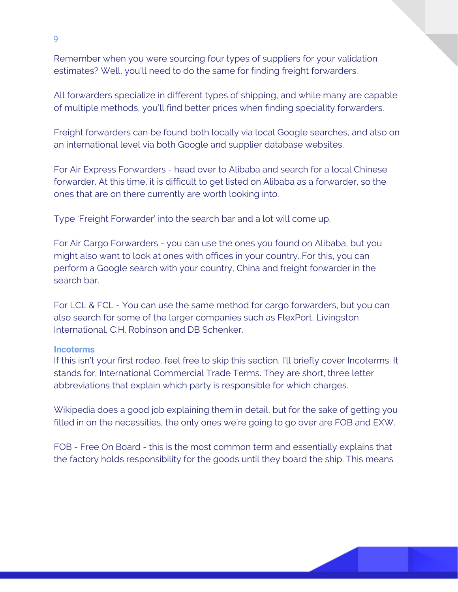Remember when you were sourcing four types of suppliers for your validation estimates? Well, you'll need to do the same for finding freight forwarders.

All forwarders specialize in different types of shipping, and while many are capable of multiple methods, you'll find better prices when finding speciality forwarders.

Freight forwarders can be found both locally via local Google searches, and also on an international level via both Google and supplier database websites.

For Air Express Forwarders - head over to Alibaba and search for a local Chinese forwarder. At this time, it is difficult to get listed on Alibaba as a forwarder, so the ones that are on there currently are worth looking into.

Type 'Freight Forwarder' into the search bar and a lot will come up.

For Air Cargo Forwarders - you can use the ones you found on Alibaba, but you might also want to look at ones with offices in your country. For this, you can perform a Google search with your country, China and freight forwarder in the search bar.

For LCL & FCL - You can use the same method for cargo forwarders, but you can also search for some of the larger companies such as FlexPort, Livingston International, C.H. Robinson and DB Schenker.

#### **Incoterms**

If this isn't your first rodeo, feel free to skip this section. I'll briefly cover Incoterms. It stands for, International Commercial Trade Terms. They are short, three letter abbreviations that explain which party is responsible for which charges.

Wikipedia does a good job explaining them in detail, but for the sake of getting you filled in on the necessities, the only ones we're going to go over are FOB and EXW.

FOB - Free On Board - this is the most common term and essentially explains that the factory holds responsibility for the goods until they board the ship. This means

9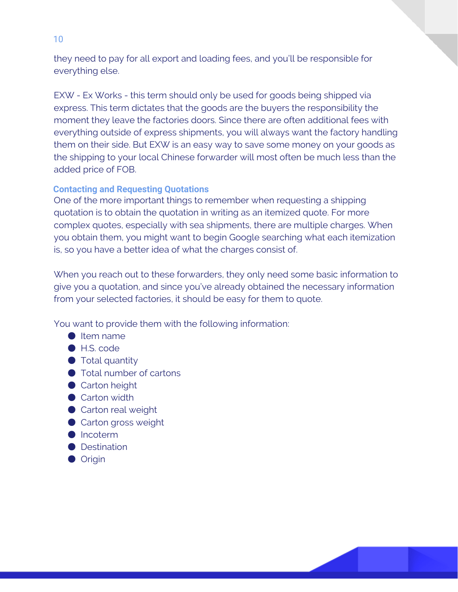they need to pay for all export and loading fees, and you'll be responsible for everything else.

EXW - Ex Works - this term should only be used for goods being shipped via express. This term dictates that the goods are the buyers the responsibility the moment they leave the factories doors. Since there are often additional fees with everything outside of express shipments, you will always want the factory handling them on their side. But EXW is an easy way to save some money on your goods as the shipping to your local Chinese forwarder will most often be much less than the added price of FOB.

## **Contacting and Requesting Quotations**

One of the more important things to remember when requesting a shipping quotation is to obtain the quotation in writing as an itemized quote. For more complex quotes, especially with sea shipments, there are multiple charges. When you obtain them, you might want to begin Google searching what each itemization is, so you have a better idea of what the charges consist of.

When you reach out to these forwarders, they only need some basic information to give you a quotation, and since you've already obtained the necessary information from your selected factories, it should be easy for them to quote.

You want to provide them with the following information:

- Item name
- H.S. code
- $\bullet$  Total quantity
- Total number of cartons
- Carton height
- Carton width
- Carton real weight
- Carton gross weight
- Incoterm
- Destination
- Origin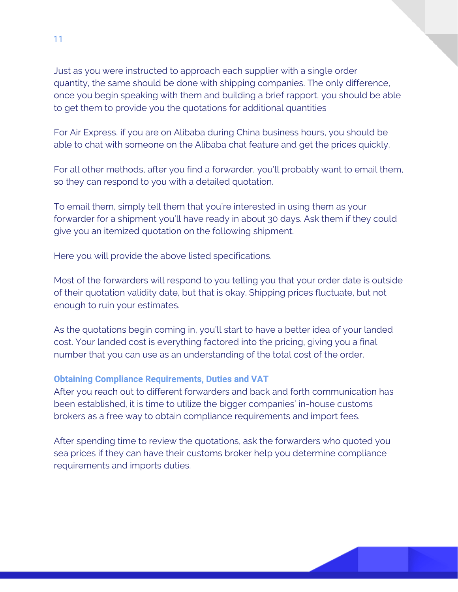Just as you were instructed to approach each supplier with a single order quantity, the same should be done with shipping companies. The only difference, once you begin speaking with them and building a brief rapport, you should be able to get them to provide you the quotations for additional quantities

For Air Express, if you are on Alibaba during China business hours, you should be able to chat with someone on the Alibaba chat feature and get the prices quickly.

For all other methods, after you find a forwarder, you'll probably want to email them, so they can respond to you with a detailed quotation.

To email them, simply tell them that you're interested in using them as your forwarder for a shipment you'll have ready in about 30 days. Ask them if they could give you an itemized quotation on the following shipment.

Here you will provide the above listed specifications.

Most of the forwarders will respond to you telling you that your order date is outside of their quotation validity date, but that is okay. Shipping prices fluctuate, but not enough to ruin your estimates.

As the quotations begin coming in, you'll start to have a better idea of your landed cost. Your landed cost is everything factored into the pricing, giving you a final number that you can use as an understanding of the total cost of the order.

#### **Obtaining Compliance Requirements, Duties and VAT**

After you reach out to different forwarders and back and forth communication has been established, it is time to utilize the bigger companies' in-house customs brokers as a free way to obtain compliance requirements and import fees.

After spending time to review the quotations, ask the forwarders who quoted you sea prices if they can have their customs broker help you determine compliance requirements and imports duties.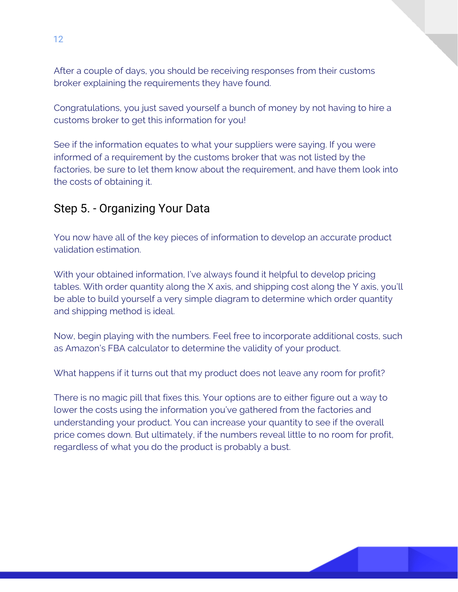After a couple of days, you should be receiving responses from their customs broker explaining the requirements they have found.

Congratulations, you just saved yourself a bunch of money by not having to hire a customs broker to get this information for you!

See if the information equates to what your suppliers were saying. If you were informed of a requirement by the customs broker that was not listed by the factories, be sure to let them know about the requirement, and have them look into the costs of obtaining it.

## Step 5. - Organizing Your Data

You now have all of the key pieces of information to develop an accurate product validation estimation.

With your obtained information, I've always found it helpful to develop pricing tables. With order quantity along the X axis, and shipping cost along the Y axis, you'll be able to build yourself a very simple diagram to determine which order quantity and shipping method is ideal.

Now, begin playing with the numbers. Feel free to incorporate additional costs, such as Amazon's FBA calculator to determine the validity of your product.

What happens if it turns out that my product does not leave any room for profit?

There is no magic pill that fixes this. Your options are to either figure out a way to lower the costs using the information you've gathered from the factories and understanding your product. You can increase your quantity to see if the overall price comes down. But ultimately, if the numbers reveal little to no room for profit, regardless of what you do the product is probably a bust.